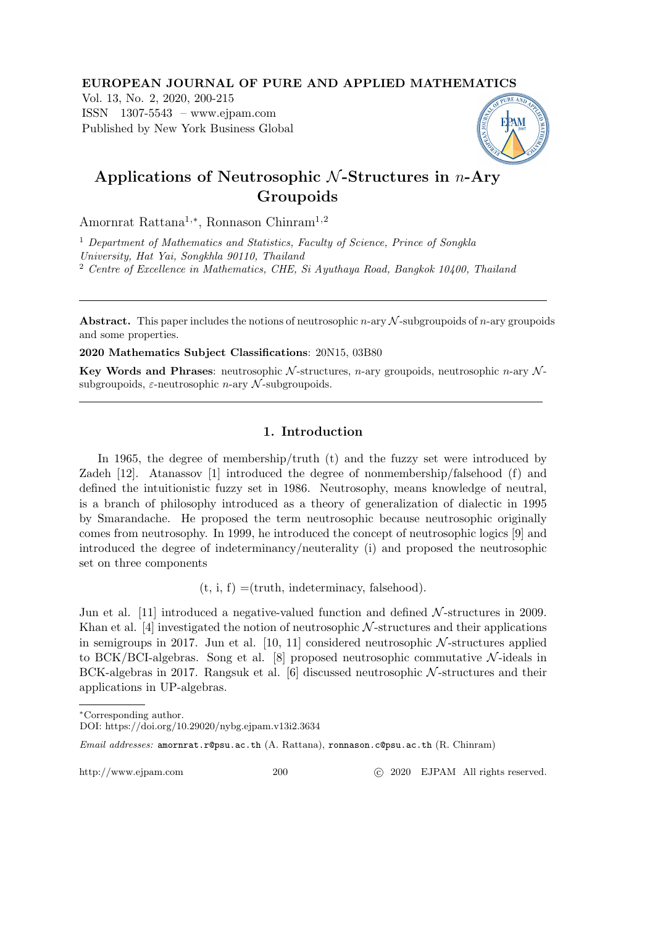#### EUROPEAN JOURNAL OF PURE AND APPLIED MATHEMATICS

Vol. 13, No. 2, 2020, 200-215 ISSN 1307-5543 – www.ejpam.com Published by New York Business Global



# Applications of Neutrosophic  $N$ -Structures in *n*-Ary Groupoids

Amornrat Rattana1,<sup>∗</sup> , Ronnason Chinram1,2

<sup>1</sup> Department of Mathematics and Statistics, Faculty of Science, Prince of Songkla University, Hat Yai, Songkhla 90110, Thailand <sup>2</sup> Centre of Excellence in Mathematics, CHE, Si Ayuthaya Road, Bangkok 10400, Thailand

**Abstract.** This paper includes the notions of neutrosophic n-ary  $\mathcal N$ -subgroupoids of n-ary groupoids and some properties.

2020 Mathematics Subject Classifications: 20N15, 03B80

Key Words and Phrases: neutrosophic  $N$ -structures, n-ary groupoids, neutrosophic n-ary  $N$ subgroupoids,  $\varepsilon$ -neutrosophic *n*-ary  $\mathcal N$ -subgroupoids.

## 1. Introduction

In 1965, the degree of membership/truth (t) and the fuzzy set were introduced by Zadeh [12]. Atanassov [1] introduced the degree of nonmembership/falsehood (f) and defined the intuitionistic fuzzy set in 1986. Neutrosophy, means knowledge of neutral, is a branch of philosophy introduced as a theory of generalization of dialectic in 1995 by Smarandache. He proposed the term neutrosophic because neutrosophic originally comes from neutrosophy. In 1999, he introduced the concept of neutrosophic logics [9] and introduced the degree of indeterminancy/neuterality (i) and proposed the neutrosophic set on three components

 $(t, i, f) =$ (truth, indeterminacy, falsehood).

Jun et al. [11] introduced a negative-valued function and defined  $N$ -structures in 2009. Khan et al. [4] investigated the notion of neutrosophic  $N$ -structures and their applications in semigroups in 2017. Jun et al.  $[10, 11]$  considered neutrosophic  $\mathcal{N}$ -structures applied to BCK/BCI-algebras. Song et al. [8] proposed neutrosophic commutative  $\mathcal{N}$ -ideals in BCK-algebras in 2017. Rangsuk et al. [6] discussed neutrosophic  $\mathcal{N}$ -structures and their applications in UP-algebras.

http://www.ejpam.com 200 
c 2020 EJPAM All rights reserved.

<sup>∗</sup>Corresponding author.

DOI: https://doi.org/10.29020/nybg.ejpam.v13i2.3634

Email addresses: amornrat.r@psu.ac.th (A. Rattana), ronnason.c@psu.ac.th (R. Chinram)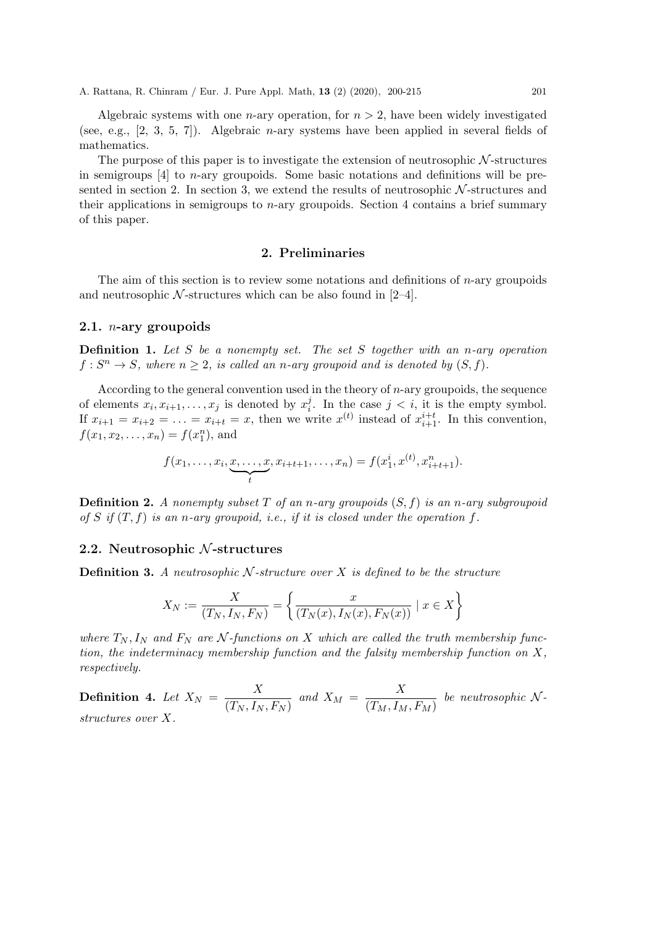Algebraic systems with one *n*-ary operation, for  $n > 2$ , have been widely investigated (see, e.g., [2, 3, 5, 7]). Algebraic n-ary systems have been applied in several fields of mathematics.

The purpose of this paper is to investigate the extension of neutrosophic  $N$ -structures in semigroups  $[4]$  to *n*-ary groupoids. Some basic notations and definitions will be presented in section 2. In section 3, we extend the results of neutrosophic  $N$ -structures and their applications in semigroups to  $n$ -ary groupoids. Section 4 contains a brief summary of this paper.

#### 2. Preliminaries

The aim of this section is to review some notations and definitions of  $n$ -ary groupoids and neutrosophic  $N$ -structures which can be also found in [2–4].

## 2.1. n-ary groupoids

**Definition 1.** Let S be a nonempty set. The set S together with an n-ary operation  $f: S^n \to S$ , where  $n \geq 2$ , is called an n-ary groupoid and is denoted by  $(S, f)$ .

According to the general convention used in the theory of  $n$ -ary groupoids, the sequence of elements  $x_i, x_{i+1}, \ldots, x_j$  is denoted by  $x_i^j$  $i<sup>j</sup>$ . In the case  $j < i$ , it is the empty symbol. If  $x_{i+1} = x_{i+2} = \ldots = x_{i+t} = x$ , then we write  $x^{(t)}$  instead of  $x_{i+1}^{i+t}$ . In this convention,  $f(x_1, x_2, \ldots, x_n) = f(x_1^n)$ , and

$$
f(x_1, \ldots, x_i, \underbrace{x, \ldots, x}_{t}, x_{i+t+1}, \ldots, x_n) = f(x_1^i, x^{(t)}, x_{i+t+1}^n).
$$

**Definition 2.** A nonempty subset T of an n-ary groupoids  $(S, f)$  is an n-ary subgroupoid of S if  $(T, f)$  is an n-ary groupoid, i.e., if it is closed under the operation f.

#### 2.2. Neutrosophic  $N$ -structures

**Definition 3.** A neutrosophic N-structure over X is defined to be the structure

$$
X_N := \frac{X}{(T_N, I_N, F_N)} = \left\{ \frac{x}{(T_N(x), I_N(x), F_N(x))} \mid x \in X \right\}
$$

where  $T_N$ ,  $I_N$  and  $F_N$  are N-functions on X which are called the truth membership function, the indeterminacy membership function and the falsity membership function on  $X$ , respectively.

**Definition 4.** Let  $X_N = \frac{X}{\sqrt{T+1}}$  $\frac{X}{(T_N, I_N, F_N)}$  and  $X_M = \frac{X}{(T_M, I_M)}$  $\overline{(T_M, I_M, F_M)}$  be neutrosophic N. structures over X.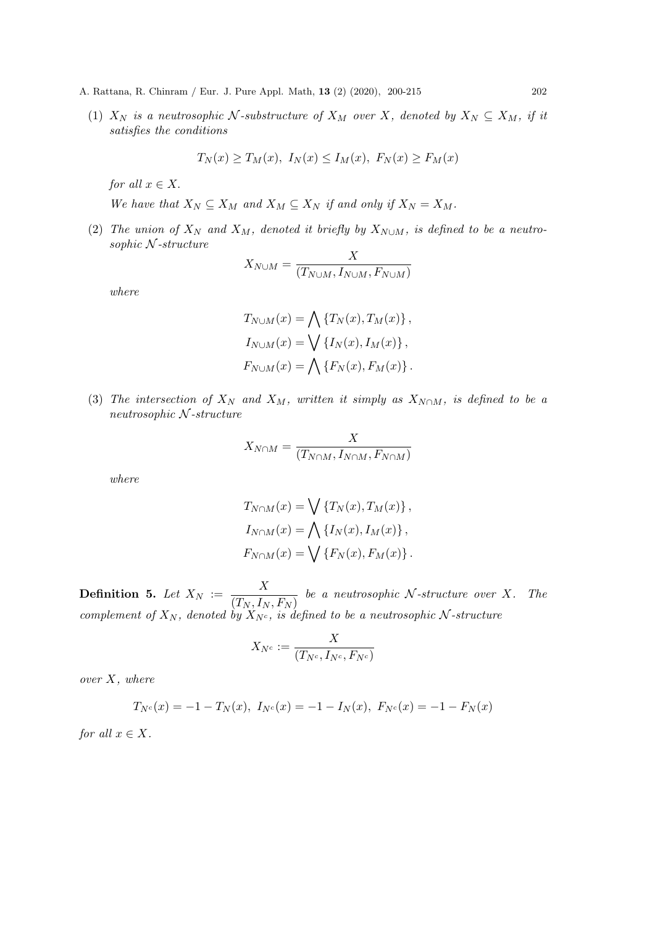(1)  $X_N$  is a neutrosophic N-substructure of  $X_M$  over X, denoted by  $X_N \subseteq X_M$ , if it satisfies the conditions

$$
T_N(x) \ge T_M(x), I_N(x) \le I_M(x), F_N(x) \ge F_M(x)
$$

for all  $x \in X$ .

We have that  $X_N \subseteq X_M$  and  $X_M \subseteq X_N$  if and only if  $X_N = X_M$ .

(2) The union of  $X_N$  and  $X_M$ , denoted it briefly by  $X_{N\cup M}$ , is defined to be a neutrosophic N -structure

$$
X_{N \cup M} = \frac{X}{(T_{N \cup M}, I_{N \cup M}, F_{N \cup M})}
$$

where

$$
T_{N \cup M}(x) = \bigwedge \{T_N(x), T_M(x)\},
$$
  
\n
$$
I_{N \cup M}(x) = \bigvee \{I_N(x), I_M(x)\},
$$
  
\n
$$
F_{N \cup M}(x) = \bigwedge \{F_N(x), F_M(x)\}.
$$

(3) The intersection of  $X_N$  and  $X_M$ , written it simply as  $X_{N\cap M}$ , is defined to be a neutrosophic N -structure

$$
X_{N\cap M} = \frac{X}{(T_{N\cap M}, I_{N\cap M}, F_{N\cap M})}
$$

where

$$
T_{N\cap M}(x) = \bigvee \{T_N(x), T_M(x)\},
$$
  
\n
$$
I_{N\cap M}(x) = \bigwedge \{I_N(x), I_M(x)\},
$$
  
\n
$$
F_{N\cap M}(x) = \bigvee \{F_N(x), F_M(x)\}.
$$

**Definition 5.** Let  $X_N := \frac{X}{\sqrt{T} - I}$  $\frac{1}{(T_N, I_N, F_N)}$  be a neutrosophic N-structure over X. The complement of  $X_N$ , denoted by  $X_{N_c}$ , is defined to be a neutrosophic N-structure

$$
X_{N^c}:=\frac{X}{(T_{N^c},I_{N^c},F_{N^c})}
$$

over  $X$ , where

$$
T_{N^c}(x) = -1 - T_N(x), \ I_{N^c}(x) = -1 - I_N(x), \ F_{N^c}(x) = -1 - F_N(x)
$$

for all  $x \in X$ .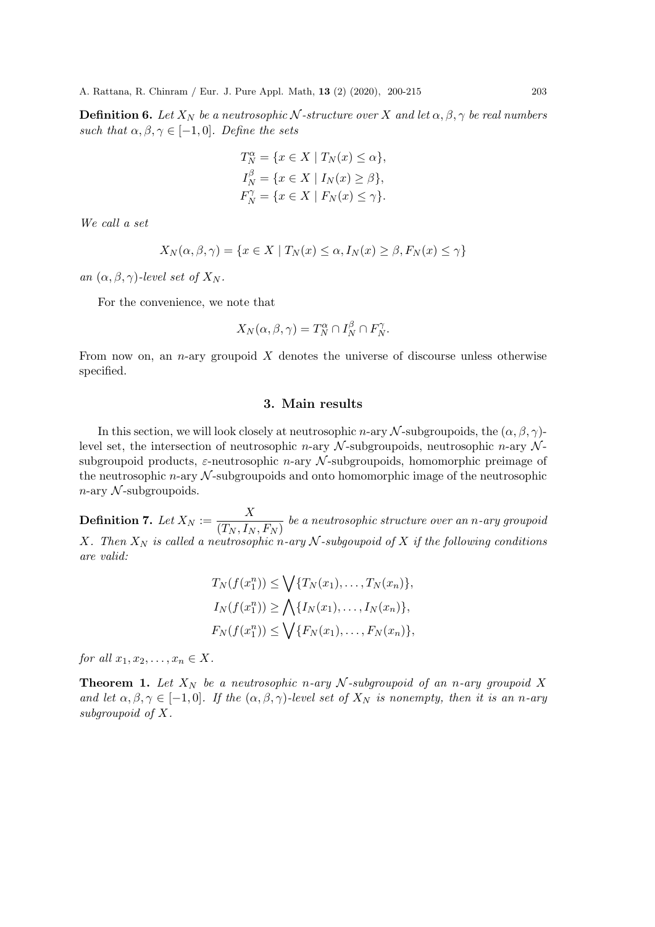**Definition 6.** Let  $X_N$  be a neutrosophic N-structure over X and let  $\alpha, \beta, \gamma$  be real numbers such that  $\alpha, \beta, \gamma \in [-1, 0]$ . Define the sets

$$
T_N^{\alpha} = \{ x \in X \mid T_N(x) \le \alpha \},
$$
  
\n
$$
I_N^{\beta} = \{ x \in X \mid I_N(x) \ge \beta \},
$$
  
\n
$$
F_N^{\gamma} = \{ x \in X \mid F_N(x) \le \gamma \}.
$$

We call a set

$$
X_N(\alpha, \beta, \gamma) = \{ x \in X \mid T_N(x) \le \alpha, I_N(x) \ge \beta, F_N(x) \le \gamma \}
$$

an  $(\alpha, \beta, \gamma)$ -level set of  $X_N$ .

For the convenience, we note that

$$
X_N(\alpha, \beta, \gamma) = T_N^{\alpha} \cap I_N^{\beta} \cap F_N^{\gamma}.
$$

From now on, an *n*-ary groupoid  $X$  denotes the universe of discourse unless otherwise specified.

#### 3. Main results

In this section, we will look closely at neutrosophic n-ary N-subgroupoids, the  $(\alpha, \beta, \gamma)$ level set, the intersection of neutrosophic n-ary  $\mathcal N$ -subgroupoids, neutrosophic n-ary  $\mathcal N$ subgroupoid products,  $\varepsilon$ -neutrosophic *n*-ary  $N$ -subgroupoids, homomorphic preimage of the neutrosophic  $n$ -ary  $\mathcal N$ -subgroupoids and onto homomorphic image of the neutrosophic  $n$ -ary  $\mathcal N$ -subgroupoids.

**Definition 7.** Let  $X_N := \frac{X}{\sqrt{T} - \frac{I}{I}}$  $\frac{1}{(T_N, I_N, F_N)}$  be a neutrosophic structure over an n-ary groupoid X. Then  $X_N$  is called a neutrosophic n-ary N-subgoupoid of X if the following conditions are valid:

$$
T_N(f(x_1^n)) \le \bigvee \{T_N(x_1), \dots, T_N(x_n)\},
$$
  
\n
$$
I_N(f(x_1^n)) \ge \bigwedge \{I_N(x_1), \dots, I_N(x_n)\},
$$
  
\n
$$
F_N(f(x_1^n)) \le \bigvee \{F_N(x_1), \dots, F_N(x_n)\},
$$

for all  $x_1, x_2, \ldots, x_n \in X$ .

**Theorem 1.** Let  $X_N$  be a neutrosophic n-ary N-subgroupoid of an n-ary groupoid X and let  $\alpha, \beta, \gamma \in [-1, 0]$ . If the  $(\alpha, \beta, \gamma)$ -level set of  $X_N$  is nonempty, then it is an n-ary subgroupoid of X.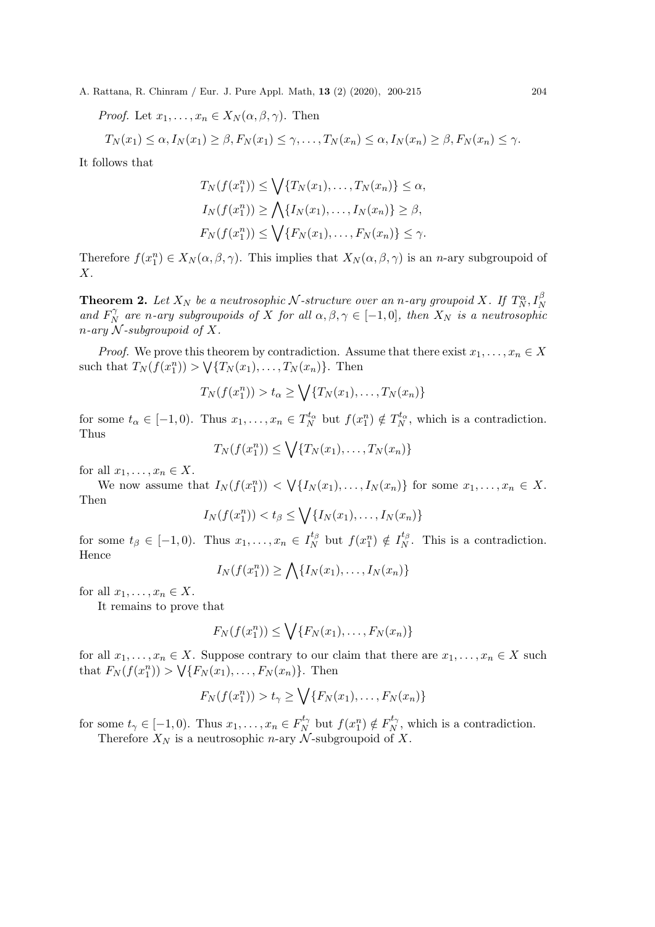*Proof.* Let  $x_1, \ldots, x_n \in X_N(\alpha, \beta, \gamma)$ . Then

$$
T_N(x_1) \leq \alpha, I_N(x_1) \geq \beta, F_N(x_1) \leq \gamma, \dots, T_N(x_n) \leq \alpha, I_N(x_n) \geq \beta, F_N(x_n) \leq \gamma.
$$

It follows that

$$
T_N(f(x_1^n)) \le \bigvee \{T_N(x_1), \dots, T_N(x_n)\} \le \alpha,
$$
  
\n
$$
I_N(f(x_1^n)) \ge \bigwedge \{I_N(x_1), \dots, I_N(x_n)\} \ge \beta,
$$
  
\n
$$
F_N(f(x_1^n)) \le \bigvee \{F_N(x_1), \dots, F_N(x_n)\} \le \gamma.
$$

Therefore  $f(x_1^n) \in X_N(\alpha, \beta, \gamma)$ . This implies that  $X_N(\alpha, \beta, \gamma)$  is an *n*-ary subgroupoid of  $X<sub>l</sub>$ 

**Theorem 2.** Let  $X_N$  be a neutrosophic  $N$ -structure over an n-ary groupoid  $X$ . If  $T_N^{\alpha}$ ,  $I_N^{\beta}$  and  $F_N^{\gamma}$  are n-ary subgroupoids of  $X$  for all  $\alpha, \beta, \gamma \in [-1, 0]$ , then  $X_N$  is a neutrosophic  $N_N^{\gamma}$  are n-ary subgroupoids of X for all  $\alpha, \beta, \gamma \in [-1,0]$ , then  $X_N$  is a neutrosophic  $n$ -ary  $N$ -subgroupoid of X.

*Proof.* We prove this theorem by contradiction. Assume that there exist  $x_1, \ldots, x_n \in X$ such that  $T_N(f(x_1^n)) > \sqrt{\{T_N(x_1), \ldots, T_N(x_n)\}}$ . Then

$$
T_N(f(x_1^n)) > t_\alpha \ge \bigvee \{T_N(x_1), \ldots, T_N(x_n)\}
$$

for some  $t_{\alpha} \in [-1,0)$ . Thus  $x_1, \ldots, x_n \in T_N^{t_{\alpha}}$  but  $f(x_1^n) \notin T_N^{t_{\alpha}}$ , which is a contradiction. Thus

$$
T_N(f(x_1^n)) \le \bigvee \{T_N(x_1), \ldots, T_N(x_n)\}
$$

for all  $x_1, \ldots, x_n \in X$ .

We now assume that  $I_N(f(x_1^n)) < \bigvee \{I_N(x_1), \ldots, I_N(x_n)\}$  for some  $x_1, \ldots, x_n \in X$ . Then

$$
I_N(f(x_1^n)) < t_\beta \le \bigvee \{I_N(x_1), \ldots, I_N(x_n)\}
$$

for some  $t_{\beta} \in [-1,0)$ . Thus  $x_1, \ldots, x_n \in I_N^{t_{\beta}}$  $f_N^{t_\beta}$  but  $f(x_1^n) \notin I_N^{t_\beta}$  $N<sup>t</sup>$ . This is a contradiction. Hence

$$
I_N(f(x_1^n)) \ge \bigwedge \{I_N(x_1), \ldots, I_N(x_n)\}
$$

for all  $x_1, \ldots, x_n \in X$ .

It remains to prove that

$$
F_N(f(x_1^n)) \le \bigvee \{F_N(x_1), \dots, F_N(x_n)\}
$$

for all  $x_1, \ldots, x_n \in X$ . Suppose contrary to our claim that there are  $x_1, \ldots, x_n \in X$  such that  $F_N(f(x_1^n)) > \sqrt{\{F_N(x_1), \ldots, F_N(x_n)\}}$ . Then

$$
F_N(f(x_1^n)) > t_\gamma \ge \bigvee \{F_N(x_1), \ldots, F_N(x_n)\}
$$

for some  $t_{\gamma} \in [-1,0)$ . Thus  $x_1, \ldots, x_n \in F_N^{t_{\gamma}}$  $f_N^{t_{\gamma}}$  but  $f(x_1^n) \notin F_N^{t_{\gamma}}$  $N'$ , which is a contradiction.

Therefore  $X_N$  is a neutrosophic *n*-ary  $\mathcal N$ -subgroupoid of X.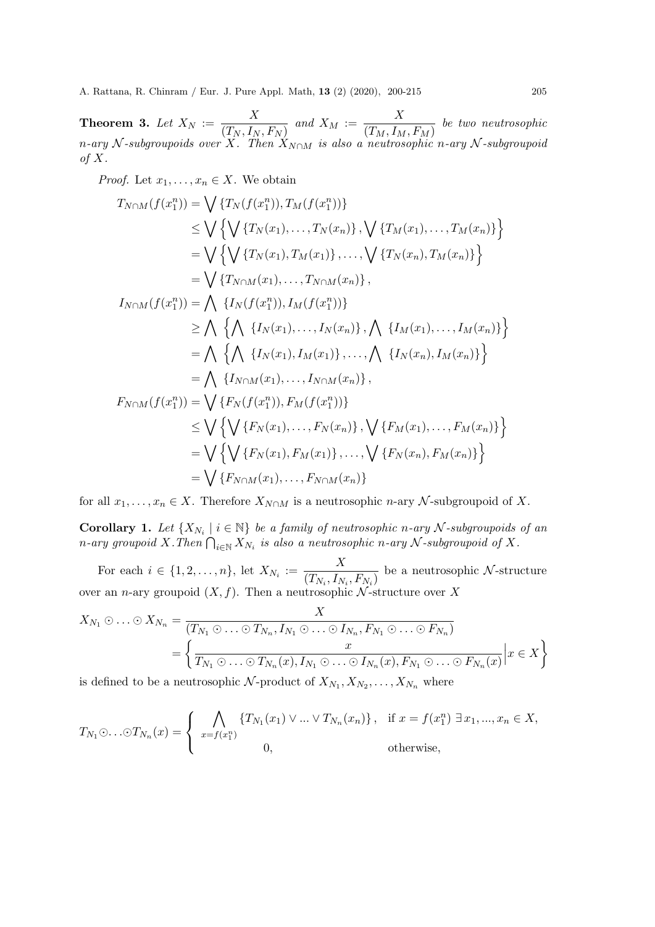**Theorem 3.** Let  $X_N := \frac{X}{\sqrt{T+1}}$  $\frac{X}{(T_N, I_N, F_N)}$  and  $X_M := \frac{X}{(T_M, I_M)}$  $\overline{(T_M, I_M, F_M)}$  be two neutrosophic n-ary N-subgroupoids over X. Then  $X_{N\cap M}$  is also a neutrosophic n-ary N-subgroupoid of  $X$ .

*Proof.* Let  $x_1, \ldots, x_n \in X$ . We obtain

$$
T_{N \cap M}(f(x_1^n)) = \bigvee \{T_N(f(x_1^n)), T_M(f(x_1^n))\}
$$
  
\n
$$
\leq \bigvee \bigvee \{ \bigvee \{T_N(x_1), \dots, T_N(x_n)\}, \bigvee \{T_M(x_1), \dots, T_M(x_n)\} \big\}
$$
  
\n
$$
= \bigvee \bigvee \{ \bigvee \{T_N(x_1), T_M(x_1)\}, \dots, \bigvee \{T_N(x_n), T_M(x_n)\} \big\}
$$
  
\n
$$
= \bigvee \{T_{N \cap M}(x_1), \dots, T_{N \cap M}(x_n) \},
$$
  
\n
$$
I_{N \cap M}(f(x_1^n)) = \bigwedge \{I_N(f(x_1^n)), I_M(f(x_1^n))\}
$$
  
\n
$$
\geq \bigwedge \{ \bigwedge \{I_N(x_1), \dots, I_N(x_n)\}, \bigwedge \{I_M(x_1), \dots, I_M(x_n)\} \} \}
$$
  
\n
$$
= \bigwedge \{ \bigwedge \{I_N(x_1), I_M(x_1)\}, \dots, \bigwedge \{I_N(x_n), I_M(x_n)\} \} \}
$$
  
\n
$$
= \bigwedge \{I_{N \cap M}(x_1), \dots, I_{N \cap M}(x_n) \},
$$
  
\n
$$
F_{N \cap M}(f(x_1^n)) = \bigvee \{F_N(f(x_1^n)), F_M(f(x_1^n))\}
$$
  
\n
$$
\leq \bigvee \{ \bigvee \{F_N(x_1), \dots, F_N(x_n)\}, \bigvee \{F_M(x_1), \dots, F_M(x_n)\} \}
$$
  
\n
$$
= \bigvee \{F_{N \cap M}(x_1), \dots, F_{N \cap M}(x_n) \}
$$

for all  $x_1, \ldots, x_n \in X$ . Therefore  $X_{N \cap M}$  is a neutrosophic *n*-ary  $N$ -subgroupoid of X.

**Corollary 1.** Let  $\{X_{N_i} \mid i \in \mathbb{N}\}\$  be a family of neutrosophic n-ary N-subgroupoids of an n-ary groupoid X.Then  $\bigcap_{i\in\mathbb{N}}X_{N_i}$  is also a neutrosophic n-ary  $\mathcal N$ -subgroupoid of X.

For each  $i \in \{1, 2, ..., n\}$ , let  $X_{N_i} := \frac{X}{(T_{i1} + T_{i2})}$  $\overline{(T_{N_i}, I_{N_i}, F_{N_i})}$  be a neutrosophic N-structure over an n-ary groupoid  $(X, f)$ . Then a neutrosophic N-structure over X

 $\ddot{x}$ 

$$
X_{N_1} \odot \ldots \odot X_{N_n} = \frac{X}{(T_{N_1} \odot \ldots \odot T_{N_n}, I_{N_1} \odot \ldots \odot I_{N_n}, F_{N_1} \odot \ldots \odot F_{N_n})}
$$
  
= 
$$
\left\{ \frac{x}{T_{N_1} \odot \ldots \odot T_{N_n}(x), I_{N_1} \odot \ldots \odot I_{N_n}(x), F_{N_1} \odot \ldots \odot F_{N_n}(x)} \Big| x \in X \right\}
$$

is defined to be a neutrosophic N-product of  $X_{N_1}, X_{N_2}, \ldots, X_{N_n}$  where

$$
T_{N_1} \odot \ldots \odot T_{N_n}(x) = \begin{cases} \bigwedge_{x=f(x_1^n)} \{T_{N_1}(x_1) \vee \ldots \vee T_{N_n}(x_n)\}, & \text{if } x = f(x_1^n) \exists x_1, ..., x_n \in X, \\ 0, & \text{otherwise,} \end{cases}
$$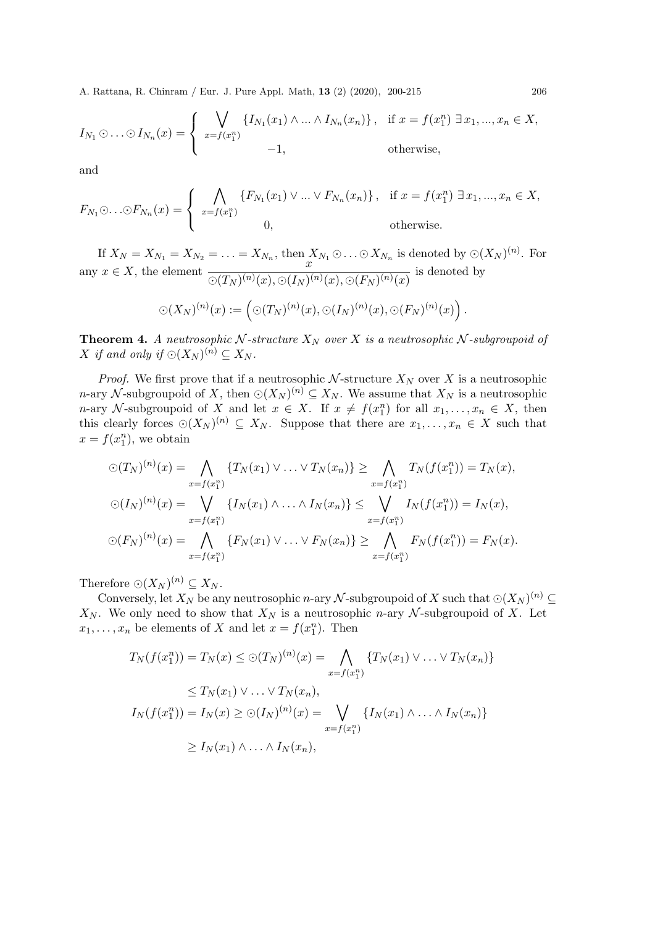$$
I_{N_1} \odot \ldots \odot I_{N_n}(x) = \begin{cases} \bigvee_{x=f(x_1^n)} \{I_{N_1}(x_1) \wedge \ldots \wedge I_{N_n}(x_n)\}, & \text{if } x = f(x_1^n) \exists x_1, ..., x_n \in X, \\ -1, & \text{otherwise}, \end{cases}
$$

and

$$
F_{N_1} \odot \ldots \odot F_{N_n}(x) = \begin{cases} \bigwedge_{x=f(x_1^n)} \{F_{N_1}(x_1) \vee \ldots \vee F_{N_n}(x_n)\}, & \text{if } x = f(x_1^n) \exists x_1, ..., x_n \in X, \\ 0, & \text{otherwise.} \end{cases}
$$

If  $X_N = X_{N_1} = X_{N_2} = \ldots = X_{N_n}$ , then  $X_{N_1} \odot \ldots \odot X_{N_n}$  is denoted by  $\odot (X_N)^{(n)}$ . For any  $x \in X$ , the element  $\frac{x}{\sqrt{x}}$  $\overline{\odot(T_N)^{(n)}(x),\odot(I_N)^{(n)}(x),\odot(F_N)^{(n)}(x)}$  is denoted by

$$
\odot (X_N)^{(n)}(x) := \left( \odot (T_N)^{(n)}(x), \odot (I_N)^{(n)}(x), \odot (F_N)^{(n)}(x) \right).
$$

**Theorem 4.** A neutrosophic N-structure  $X_N$  over X is a neutrosophic N-subgroupoid of X if and only if  $\bigcirc (X_N)^{(n)} \subseteq X_N$ .

*Proof.* We first prove that if a neutrosophic  $N$ -structure  $X_N$  over X is a neutrosophic n-ary N-subgroupoid of X, then  $\odot (X_N)^{(n)} \subseteq X_N$ . We assume that  $X_N$  is a neutrosophic *n*-ary N-subgroupoid of X and let  $x \in X$ . If  $x \neq f(x_1^n)$  for all  $x_1, \ldots, x_n \in X$ , then this clearly forces  $\odot (X_N)^{(n)} \subseteq X_N$ . Suppose that there are  $x_1, \ldots, x_n \in X$  such that  $x = f(x_1^n)$ , we obtain

$$
\bigcirc (T_N)^{(n)}(x) = \bigwedge_{x=f(x_1^n)} \{T_N(x_1) \vee \ldots \vee T_N(x_n)\} \ge \bigwedge_{x=f(x_1^n)} T_N(f(x_1^n)) = T_N(x),
$$
  

$$
\bigcirc (I_N)^{(n)}(x) = \bigvee_{x=f(x_1^n)} \{I_N(x_1) \wedge \ldots \wedge I_N(x_n)\} \le \bigvee_{x=f(x_1^n)} I_N(f(x_1^n)) = I_N(x),
$$
  

$$
\bigcirc (F_N)^{(n)}(x) = \bigwedge_{x=f(x_1^n)} \{F_N(x_1) \vee \ldots \vee F_N(x_n)\} \ge \bigwedge_{x=f(x_1^n)} F_N(f(x_1^n)) = F_N(x).
$$

Therefore  $\odot (X_N )^{(n)} \subseteq X_N$ .

Conversely, let  $X_N$  be any neutrosophic *n*-ary  $\mathcal N$ -subgroupoid of X such that  $\odot (X_N)^{(n)} \subseteq$  $X_N$ . We only need to show that  $X_N$  is a neutrosophic *n*-ary  $N$ -subgroupoid of X. Let  $x_1, \ldots, x_n$  be elements of X and let  $x = f(x_1^n)$ . Then

$$
T_N(f(x_1^n)) = T_N(x) \leq \bigcirc (T_N)^{(n)}(x) = \bigwedge_{x=f(x_1^n)} \{T_N(x_1) \vee \ldots \vee T_N(x_n)\}
$$
  
\n
$$
\leq T_N(x_1) \vee \ldots \vee T_N(x_n),
$$
  
\n
$$
I_N(f(x_1^n)) = I_N(x) \geq \bigcirc (I_N)^{(n)}(x) = \bigvee_{x=f(x_1^n)} \{I_N(x_1) \wedge \ldots \wedge I_N(x_n)\}
$$
  
\n
$$
\geq I_N(x_1) \wedge \ldots \wedge I_N(x_n),
$$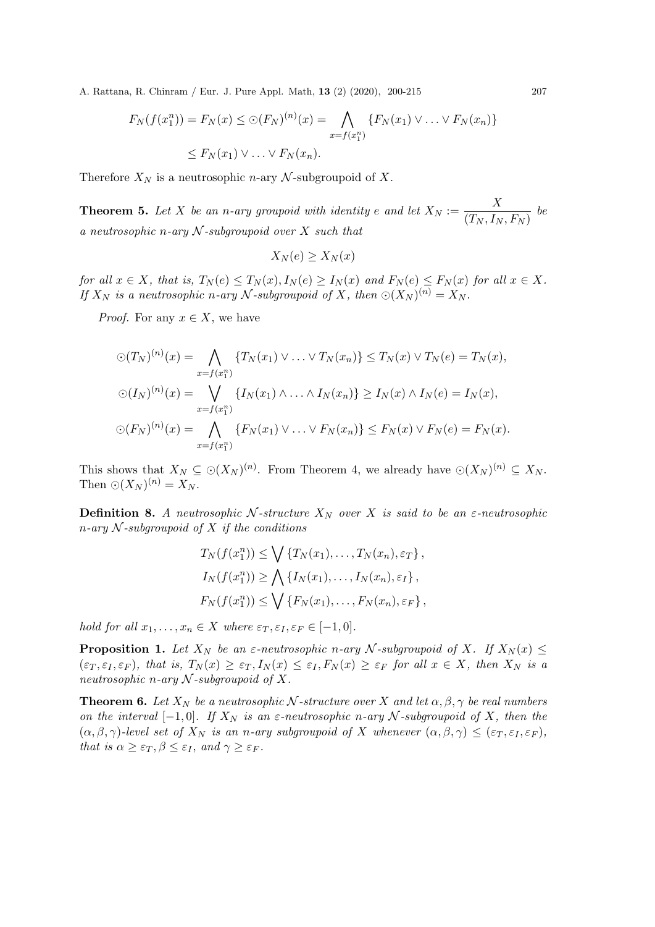$$
F_N(f(x_1^n)) = F_N(x) \leq \bigcirc (F_N)^{(n)}(x) = \bigwedge_{x = f(x_1^n)} \{F_N(x_1) \vee \dots \vee F_N(x_n)\}
$$
  

$$
\leq F_N(x_1) \vee \dots \vee F_N(x_n).
$$

Therefore  $X_N$  is a neutrosophic *n*-ary  $N$ -subgroupoid of X.

**Theorem 5.** Let X be an n-ary groupoid with identity e and let  $X_N := \frac{X}{(T - I)}$  $\frac{1}{(T_N, I_N, F_N)}$  be a neutrosophic n-ary  $N$ -subgroupoid over X such that

$$
X_N(e) \ge X_N(x)
$$

for all  $x \in X$ , that is,  $T_N(e) \leq T_N(x)$ ,  $I_N(e) \geq I_N(x)$  and  $F_N(e) \leq F_N(x)$  for all  $x \in X$ . If  $X_N$  is a neutrosophic n-ary N-subgroupoid of X, then  $\odot (X_N)^{(n)} = X_N$ .

*Proof.* For any  $x \in X$ , we have

$$
\bigcirc (T_N)^{(n)}(x) = \bigwedge_{x=f(x_1^n)} \{T_N(x_1) \vee \ldots \vee T_N(x_n)\} \le T_N(x) \vee T_N(e) = T_N(x),
$$
  

$$
\bigcirc (I_N)^{(n)}(x) = \bigvee_{x=f(x_1^n)} \{I_N(x_1) \wedge \ldots \wedge I_N(x_n)\} \ge I_N(x) \wedge I_N(e) = I_N(x),
$$
  

$$
\bigcirc (F_N)^{(n)}(x) = \bigwedge_{x=f(x_1^n)} \{F_N(x_1) \vee \ldots \vee F_N(x_n)\} \le F_N(x) \vee F_N(e) = F_N(x).
$$

This shows that  $X_N \subseteq \odot(X_N)^{(n)}$ . From Theorem 4, we already have  $\odot(X_N)^{(n)} \subseteq X_N$ . Then  $\odot (X_N )^{(n)} = X_N$ .

**Definition 8.** A neutrosophic N-structure  $X_N$  over X is said to be an  $\varepsilon$ -neutrosophic  $n$ -ary  $N$ -subgroupoid of  $X$  if the conditions

$$
T_N(f(x_1^n)) \le \bigvee \{T_N(x_1), \dots, T_N(x_n), \varepsilon_T\},
$$
  
\n
$$
I_N(f(x_1^n)) \ge \bigwedge \{I_N(x_1), \dots, I_N(x_n), \varepsilon_I\},
$$
  
\n
$$
F_N(f(x_1^n)) \le \bigvee \{F_N(x_1), \dots, F_N(x_n), \varepsilon_F\},
$$

hold for all  $x_1, \ldots, x_n \in X$  where  $\varepsilon_T, \varepsilon_I, \varepsilon_F \in [-1, 0].$ 

**Proposition 1.** Let  $X_N$  be an  $\varepsilon$ -neutrosophic n-ary N-subgroupoid of X. If  $X_N(x) \leq$  $(\varepsilon_T, \varepsilon_I, \varepsilon_F)$ , that is,  $T_N(x) \geq \varepsilon_T$ ,  $I_N(x) \leq \varepsilon_I$ ,  $F_N(x) \geq \varepsilon_F$  for all  $x \in X$ , then  $X_N$  is a neutrosophic n-ary  $N$ -subgroupoid of X.

**Theorem 6.** Let  $X_N$  be a neutrosophic N-structure over X and let  $\alpha, \beta, \gamma$  be real numbers on the interval  $[-1,0]$ . If  $X_N$  is an  $\varepsilon$ -neutrosophic n-ary N-subgroupoid of X, then the  $(\alpha, \beta, \gamma)$ -level set of  $X_N$  is an n-ary subgroupoid of X whenever  $(\alpha, \beta, \gamma) \leq (\varepsilon_T, \varepsilon_I, \varepsilon_F)$ , that is  $\alpha \geq \varepsilon_T, \beta \leq \varepsilon_I$ , and  $\gamma \geq \varepsilon_F$ .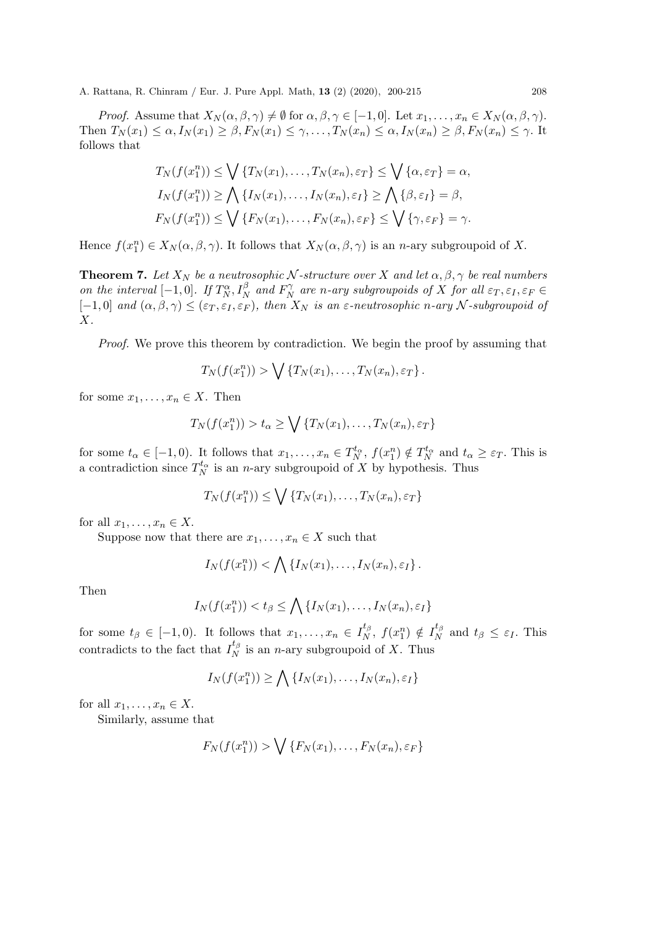*Proof.* Assume that  $X_N(\alpha, \beta, \gamma) \neq \emptyset$  for  $\alpha, \beta, \gamma \in [-1, 0]$ . Let  $x_1, \ldots, x_n \in X_N(\alpha, \beta, \gamma)$ . Then  $T_N(x_1) \leq \alpha$ ,  $I_N(x_1) \geq \beta$ ,  $F_N(x_1) \leq \gamma$ , ...,  $T_N(x_n) \leq \alpha$ ,  $I_N(x_n) \geq \beta$ ,  $F_N(x_n) \leq \gamma$ . It follows that

$$
T_N(f(x_1^n)) \le \bigvee \{T_N(x_1), \dots, T_N(x_n), \varepsilon_T\} \le \bigvee \{\alpha, \varepsilon_T\} = \alpha,
$$
  
\n
$$
I_N(f(x_1^n)) \ge \bigwedge \{I_N(x_1), \dots, I_N(x_n), \varepsilon_I\} \ge \bigwedge \{\beta, \varepsilon_I\} = \beta,
$$
  
\n
$$
F_N(f(x_1^n)) \le \bigvee \{F_N(x_1), \dots, F_N(x_n), \varepsilon_F\} \le \bigvee \{\gamma, \varepsilon_F\} = \gamma.
$$

Hence  $f(x_1^n) \in X_N(\alpha, \beta, \gamma)$ . It follows that  $X_N(\alpha, \beta, \gamma)$  is an *n*-ary subgroupoid of X.

**Theorem 7.** Let  $X_N$  be a neutrosophic N-structure over X and let  $\alpha, \beta, \gamma$  be real numbers on the interval  $[-1,0]$ . If  $T_N^{\alpha}, I_N^{\beta}$  and  $F_N^{\gamma}$  $\mathop{\mathrm{d}}\limits^{\gamma}_N$  are n-ary subgroupoids of X for all  $\varepsilon_T, \varepsilon_I, \varepsilon_F \in \mathbb{R}^N$  $[-1, 0]$  and  $(\alpha, \beta, \gamma) \leq (\varepsilon_T, \varepsilon_T, \varepsilon_F)$ , then  $X_N$  is an  $\varepsilon$ -neutrosophic n-ary N-subgroupoid of  $X$ .

Proof. We prove this theorem by contradiction. We begin the proof by assuming that

$$
T_N(f(x_1^n)) > \bigvee \{T_N(x_1), \ldots, T_N(x_n), \varepsilon_T\}.
$$

for some  $x_1, \ldots, x_n \in X$ . Then

$$
T_N(f(x_1^n)) > t_\alpha \ge \bigvee \{T_N(x_1), \dots, T_N(x_n), \varepsilon_T\}
$$

for some  $t_{\alpha} \in [-1,0)$ . It follows that  $x_1, \ldots, x_n \in T_N^{t_{\alpha}}$ ,  $f(x_1^n) \notin T_N^{t_{\alpha}}$  and  $t_{\alpha} \geq \varepsilon_T$ . This is a contradiction since  $T_N^{t_\alpha}$  is an *n*-ary subgroupoid of X by hypothesis. Thus

$$
T_N(f(x_1^n)) \le \bigvee \{T_N(x_1), \ldots, T_N(x_n), \varepsilon_T\}
$$

for all  $x_1, \ldots, x_n \in X$ .

Suppose now that there are  $x_1, \ldots, x_n \in X$  such that

$$
I_N(f(x_1^n)) < \bigwedge \{I_N(x_1), \ldots, I_N(x_n), \varepsilon_I\}.
$$

Then

$$
I_N(f(x_1^n)) < t_\beta \le \bigwedge \{I_N(x_1), \dots, I_N(x_n), \varepsilon_I\}
$$

for some  $t_{\beta} \in [-1,0)$ . It follows that  $x_1, \ldots, x_n \in I_N^{t_{\beta}}$  $f_{N}^{t_{\beta}}, f(x_{1}^{n}) \notin I_{N}^{t_{\beta}}$  $t_{N}^{\mu_{\beta}}$  and  $t_{\beta} \leq \varepsilon_{I}$ . This contradicts to the fact that  $I_N^{t_\beta}$  $\frac{N}{N}$  is an *n*-ary subgroupoid of X. Thus

$$
I_N(f(x_1^n)) \ge \bigwedge \{I_N(x_1), \ldots, I_N(x_n), \varepsilon_I\}
$$

for all  $x_1, \ldots, x_n \in X$ .

Similarly, assume that

$$
F_N(f(x_1^n)) > \bigvee \{F_N(x_1), \ldots, F_N(x_n), \varepsilon_F\}
$$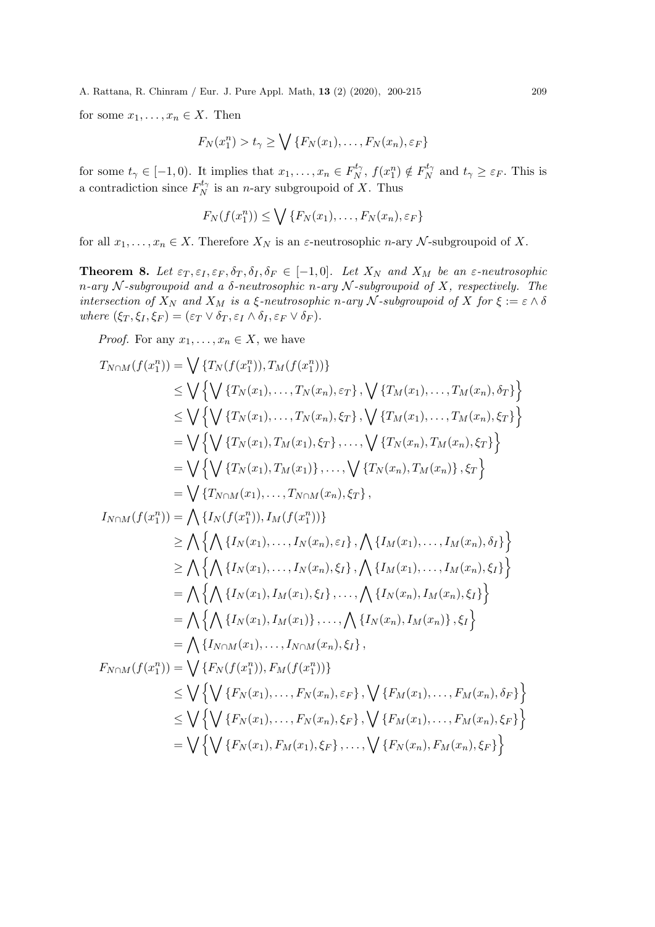for some  $x_1, \ldots, x_n \in X$ . Then

$$
F_N(x_1^n) > t_\gamma \ge \bigvee \{F_N(x_1), \dots, F_N(x_n), \varepsilon_F\}
$$

for some  $t_{\gamma} \in [-1,0)$ . It implies that  $x_1, \ldots, x_n \in F_N^{t_{\gamma}}$  $f_N^{t_\gamma}, f(x_1^n) \notin F_N^{t_\gamma}$  $t_{\gamma}^{t_{\gamma}}$  and  $t_{\gamma} \geq \varepsilon_F$ . This is a contradiction since  $F_N^{t_{\gamma}}$  $N^{\iota_{\gamma}}$  is an *n*-ary subgroupoid of X. Thus

$$
F_N(f(x_1^n)) \le \bigvee \{F_N(x_1), \dots, F_N(x_n), \varepsilon_F\}
$$

for all  $x_1, \ldots, x_n \in X$ . Therefore  $X_N$  is an  $\varepsilon$ -neutrosophic n-ary N-subgroupoid of X.

**Theorem 8.** Let  $\varepsilon_T, \varepsilon_I, \varepsilon_F, \delta_T, \delta_I, \delta_F \in [-1, 0]$ . Let  $X_N$  and  $X_M$  be an  $\varepsilon$ -neutrosophic n-ary N-subgroupoid and a  $\delta$ -neutrosophic n-ary N-subgroupoid of X, respectively. The intersection of  $X_N$  and  $X_M$  is a  $\xi$ -neutrosophic n-ary  $\mathcal N$ -subgroupoid of  $X$  for  $\xi := \varepsilon \wedge \delta$ where  $(\xi_T, \xi_I, \xi_F) = (\varepsilon_T \vee \delta_T, \varepsilon_I \wedge \delta_I, \varepsilon_F \vee \delta_F).$ 

*Proof.* For any  $x_1, \ldots, x_n \in X$ , we have

$$
T_{N \cap M}(f(x_1^n)) = \bigvee \{T_N(f(x_1^n)), T_M(f(x_1^n))\}
$$
  
\n
$$
\leq \bigvee \bigvee \bigvee \{T_N(x_1), \dots, T_N(x_n), \varepsilon_T\}, \bigvee \{T_M(x_1), \dots, T_M(x_n), \delta_T\} \bigvee \{T_N(x_1), \dots, T_M(x_n), \delta_T\} \bigvee \{T_N(x_1), \dots, T_M(x_n), \delta_T\} \bigvee \{T_N(x_1), \dots, T_M(x_n), \delta_T\} \bigvee \{T_N(x_1), T_M(x_1), \delta_T\}, \dots, \bigvee \{T_N(x_n), T_M(x_n), \delta_T\} \bigvee \{T_N(x_n), T_M(x_n)\}, \varepsilon_T \} = \bigvee \{T_{N \cap M}(x_1), \dots, T_{N \cap M}(x_n), \delta_T\},
$$
  
\n
$$
= \bigvee \{T_{N \cap M}(x_1), \dots, T_{N \cap M}(x_n), \delta_T\},
$$
  
\n
$$
= \bigwedge \{T_N(x_1), \dots, T_N(x_n), \delta_T\}, \bigwedge \{T_M(x_1), \dots, T_M(x_n), \delta_T\} \bigvee \{T_N(x_n), \delta_T\} \bigvee \{T_N(x_n), \delta_T\} \bigvee \{T_N(x_1), \dots, T_N(x_n), \delta_T\}, \bigwedge \{T_M(x_1), \dots, T_M(x_n), \delta_T\} \bigvee \{T_N(x_n), T_M(x_n), \delta_T\} \bigvee \{T_N(x_n), T_M(x_n), \delta_T\} \bigvee \{T_N(x_n), T_M(x_n), \delta_T\}.
$$
  
\n
$$
= \bigwedge \{T_N(x_1), T_M(x_1), \dots, T_N(x_n), \delta_T\},
$$
  
\n
$$
= \bigwedge \{T_N(x_1), \dots, T_N(x_n), \delta_T\}, \bigvee \{T_N(x_n), T_M(x_n), \delta_T\} \bigvee \{T_N(x_n), \dots, T_M(x_n), \delta_F\} \bigvee \{T_N(x_n), \dots, T_N(x_n), \delta_F\} \bigvee \{T_N(x_n), \dots, T_N(x_n), \delta_F\} \bigvee \{T_N(x_n), \dots, T_N(x_n), \delta_F\} \bigvee \{T_N(x_n),
$$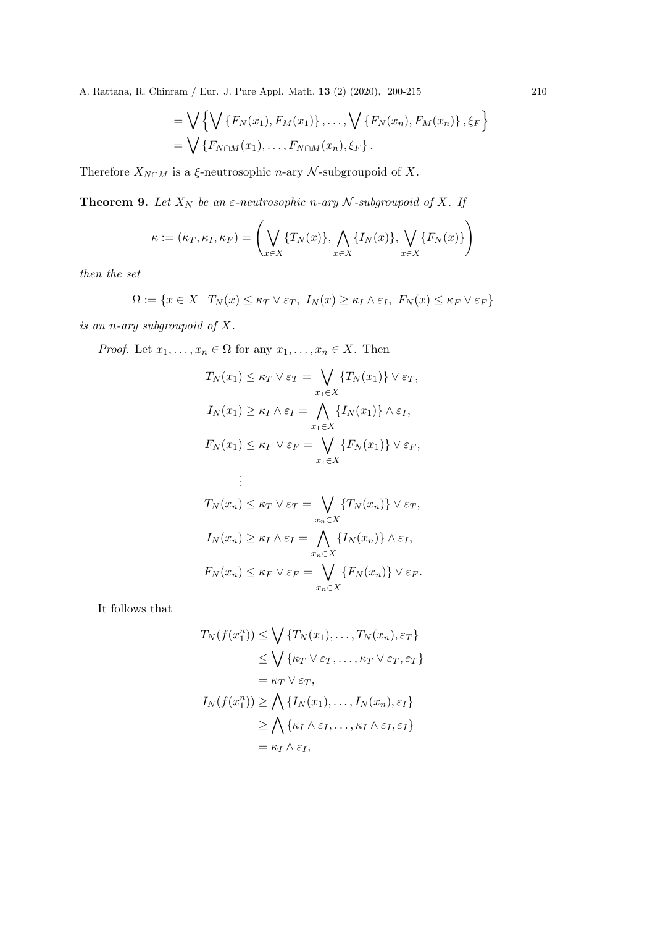= 
$$
\bigvee \{ \bigvee \{ F_N(x_1), F_M(x_1) \}, \dots, \bigvee \{ F_N(x_n), F_M(x_n) \}, \xi_F \}
$$
  
=  $\bigvee \{ F_{N \cap M}(x_1), \dots, F_{N \cap M}(x_n), \xi_F \}.$ 

Therefore  $X_{N\cap M}$  is a  $\xi$ -neutrosophic *n*-ary  $\mathcal N$ -subgroupoid of  $X$ .

**Theorem 9.** Let  $X_N$  be an  $\varepsilon$ -neutrosophic n-ary  $N$ -subgroupoid of  $X$ . If

$$
\kappa := (\kappa_T, \kappa_I, \kappa_F) = \left( \bigvee_{x \in X} \{T_N(x)\}, \bigwedge_{x \in X} \{I_N(x)\}, \bigvee_{x \in X} \{F_N(x)\} \right)
$$

then the set

$$
\Omega := \{ x \in X \mid T_N(x) \le \kappa_T \vee \varepsilon_T, \ I_N(x) \ge \kappa_I \wedge \varepsilon_I, \ F_N(x) \le \kappa_F \vee \varepsilon_F \}
$$

is an n-ary subgroupoid of X.

*Proof.* Let  $x_1, \ldots, x_n \in \Omega$  for any  $x_1, \ldots, x_n \in X$ . Then

$$
T_N(x_1) \leq \kappa_T \vee \varepsilon_T = \bigvee_{x_1 \in X} \{T_N(x_1)\} \vee \varepsilon_T,
$$
  
\n
$$
I_N(x_1) \geq \kappa_I \wedge \varepsilon_I = \bigwedge_{x_1 \in X} \{I_N(x_1)\} \wedge \varepsilon_I,
$$
  
\n
$$
F_N(x_1) \leq \kappa_F \vee \varepsilon_F = \bigvee_{x_1 \in X} \{F_N(x_1)\} \vee \varepsilon_F,
$$
  
\n
$$
\vdots
$$
  
\n
$$
T_N(x_n) \leq \kappa_T \vee \varepsilon_T = \bigvee_{x_n \in X} \{T_N(x_n)\} \vee \varepsilon_T,
$$
  
\n
$$
I_N(x_n) \geq \kappa_I \wedge \varepsilon_I = \bigwedge_{x_n \in X} \{I_N(x_n)\} \wedge \varepsilon_I,
$$
  
\n
$$
F_N(x_n) \leq \kappa_F \vee \varepsilon_F = \bigvee_{x_n \in X} \{F_N(x_n)\} \vee \varepsilon_F.
$$

It follows that

$$
T_N(f(x_1^n)) \le \bigvee \{T_N(x_1), \dots, T_N(x_n), \varepsilon_T\}
$$
  
\n
$$
\le \bigvee \{\kappa_T \vee \varepsilon_T, \dots, \kappa_T \vee \varepsilon_T, \varepsilon_T\}
$$
  
\n
$$
= \kappa_T \vee \varepsilon_T,
$$
  
\n
$$
I_N(f(x_1^n)) \ge \bigwedge \{I_N(x_1), \dots, I_N(x_n), \varepsilon_I\}
$$
  
\n
$$
\ge \bigwedge \{\kappa_I \wedge \varepsilon_I, \dots, \kappa_I \wedge \varepsilon_I, \varepsilon_I\}
$$
  
\n
$$
= \kappa_I \wedge \varepsilon_I,
$$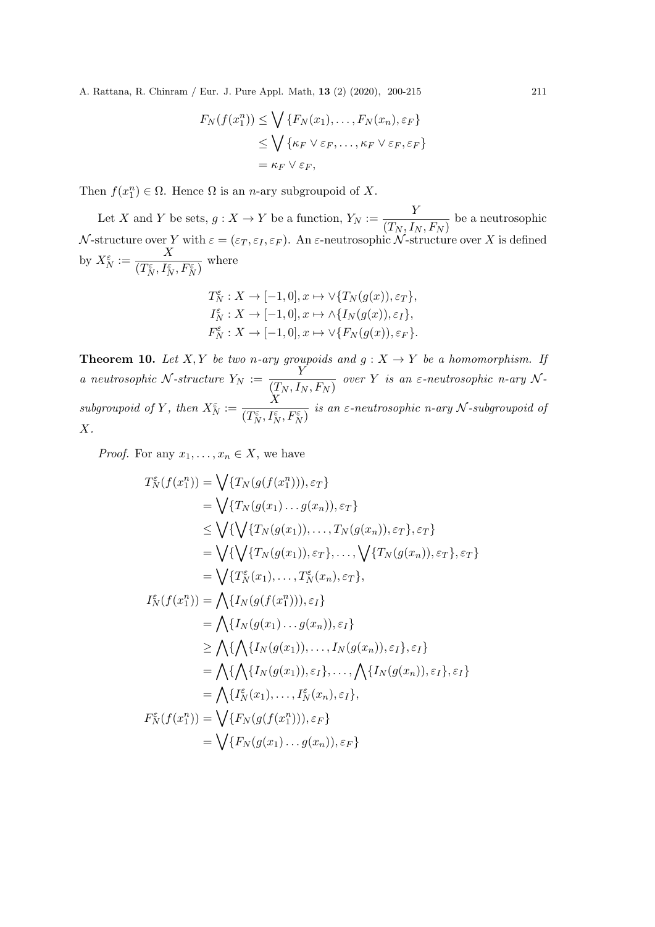$$
F_N(f(x_1^n)) \le \bigvee \{F_N(x_1), \dots, F_N(x_n), \varepsilon_F\}
$$
  
\n
$$
\le \bigvee \{\kappa_F \vee \varepsilon_F, \dots, \kappa_F \vee \varepsilon_F, \varepsilon_F\}
$$
  
\n
$$
= \kappa_F \vee \varepsilon_F,
$$

Then  $f(x_1^n) \in \Omega$ . Hence  $\Omega$  is an *n*-ary subgroupoid of X.

Let X and Y be sets,  $g: X \to Y$  be a function,  $Y_N := \frac{Y}{(T - I)}$  $\frac{1}{(T_N, I_N, F_N)}$  be a neutrosophic  ${\cal N}\text{-structure over }Y\text{ with }\varepsilon=(\varepsilon_T,\varepsilon_I,\varepsilon_F).$  An  $\varepsilon\text{-neutrosophic }\mathcal{N}\text{-structure over }X$  is defined by  $X_N^{\varepsilon} := \frac{X}{\sqrt{T^{\varepsilon} - I^{\varepsilon}}}$  $\frac{1}{(T_N^{\varepsilon}, I_N^{\varepsilon}, F_N^{\varepsilon})}$  where

$$
T_N^\varepsilon: X \to [-1,0], x \mapsto \vee \{T_N(g(x)), \varepsilon_T\},
$$
  
\n
$$
I_N^\varepsilon: X \to [-1,0], x \mapsto \wedge \{I_N(g(x)), \varepsilon_I\},
$$
  
\n
$$
F_N^\varepsilon: X \to [-1,0], x \mapsto \vee \{F_N(g(x)), \varepsilon_F\}.
$$

**Theorem 10.** Let X, Y be two n-ary groupoids and  $g: X \to Y$  be a homomorphism. If a neutrosophic N-structure  $Y_N := \frac{Y}{(T - I)}$  $\frac{1}{(T_N, I_N, F_N)}$  over Y is an  $\varepsilon$ -neutrosophic n-ary Nsubgroupoid of Y, then  $X_N^{\varepsilon} := \frac{X}{\sqrt{T^{\varepsilon} - I^{\varepsilon}}}$  $\frac{1}{(T_N^{\varepsilon}, I_N^{\varepsilon}, F_N^{\varepsilon})}$  is an  $\varepsilon$ -neutrosophic n-ary N-subgroupoid of  $X$ .

*Proof.* For any  $x_1, \ldots, x_n \in X$ , we have

$$
T_N^{\varepsilon}(f(x_1^n)) = \bigvee \{T_N(g(f(x_1^n))), \varepsilon_T\}
$$
  
\n
$$
= \bigvee \{T_N(g(x_1) \dots g(x_n)), \varepsilon_T\}
$$
  
\n
$$
\leq \bigvee \{\bigvee \{T_N(g(x_1)), \dots, T_N(g(x_n)), \varepsilon_T\}, \varepsilon_T\}
$$
  
\n
$$
= \bigvee \{\bigvee \{T_N(g(x_1)), \varepsilon_T\}, \dots, \bigvee \{T_N(g(x_n)), \varepsilon_T\}, \varepsilon_T\}
$$
  
\n
$$
= \bigvee \{T_N^{\varepsilon}(x_1), \dots, T_N^{\varepsilon}(x_n), \varepsilon_T\},
$$
  
\n
$$
I_N^{\varepsilon}(f(x_1^n)) = \bigwedge \{I_N(g(f(x_1^n))), \varepsilon_I\}
$$
  
\n
$$
= \bigwedge \{I_N(g(x_1) \dots g(x_n)), \varepsilon_I\}
$$
  
\n
$$
\geq \bigwedge \{\bigwedge \{I_N(g(x_1)), \dots, I_N(g(x_n)), \varepsilon_I\}, \varepsilon_I\}
$$
  
\n
$$
= \bigwedge \{\bigwedge \{I_N(g(x_1)), \varepsilon_I\}, \dots, \bigwedge \{I_N(g(x_n)), \varepsilon_I\}, \varepsilon_I\}
$$
  
\n
$$
= \bigwedge \{I_N^{\varepsilon}(x_1), \dots, I_N^{\varepsilon}(x_n), \varepsilon_I\},
$$
  
\n
$$
F_N^{\varepsilon}(f(x_1^n)) = \bigvee \{F_N(g(f(x_1^n))), \varepsilon_F\}
$$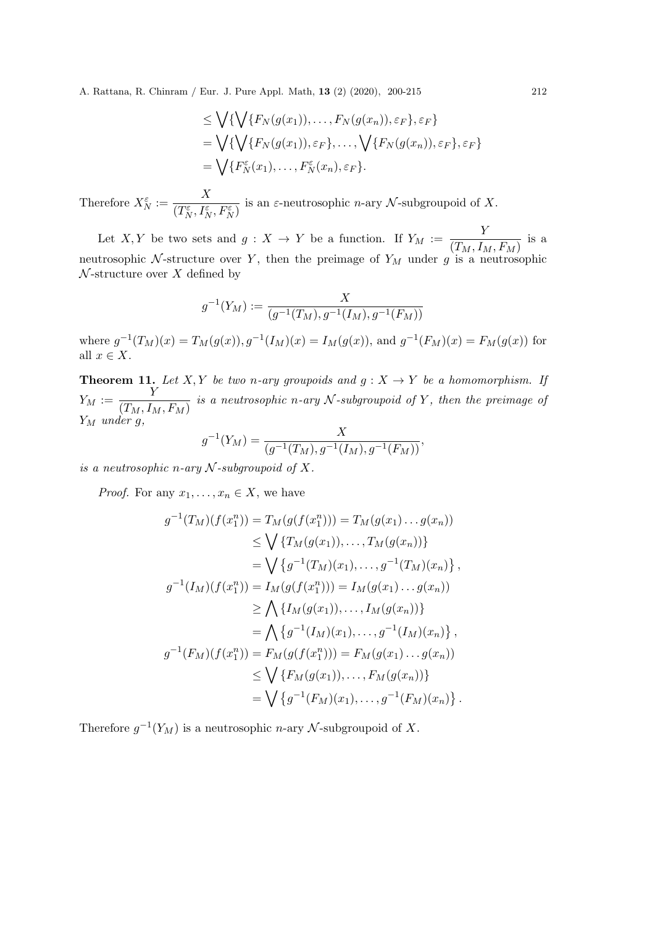$$
\leq \bigvee \{ \bigvee \{ F_N(g(x_1)), \dots, F_N(g(x_n)), \varepsilon_F \}, \varepsilon_F \}
$$
\n
$$
= \bigvee \{ \bigvee \{ F_N(g(x_1)), \varepsilon_F \}, \dots, \bigvee \{ F_N(g(x_n)), \varepsilon_F \}, \varepsilon_F \}
$$
\n
$$
= \bigvee \{ F_N^{\varepsilon}(x_1), \dots, F_N^{\varepsilon}(x_n), \varepsilon_F \}.
$$

Therefore  $X_N^{\varepsilon} := \frac{X}{\sqrt{T^{\varepsilon} - I^{\varepsilon}}}$  $\frac{1}{(T_N^{\varepsilon}, I_N^{\varepsilon}, F_N^{\varepsilon})}$  is an  $\varepsilon$ -neutrosophic *n*-ary *N*-subgroupoid of *X*.

Let X, Y be two sets and  $g: X \to Y$  be a function. If  $Y_M := \frac{Y}{\sqrt{T+I}}$  $\frac{1}{(T_M, I_M, F_M)}$  is a neutrosophic N-structure over Y, then the preimage of  $Y_M$  under g is a neutrosophic  $\mathcal N$ -structure over X defined by

$$
g^{-1}(Y_M) := \frac{X}{(g^{-1}(T_M), g^{-1}(I_M), g^{-1}(F_M))}
$$

where  $g^{-1}(T_M)(x) = T_M(g(x)), g^{-1}(I_M)(x) = I_M(g(x)),$  and  $g^{-1}(F_M)(x) = F_M(g(x))$  for all  $x \in X$ .

**Theorem 11.** Let X, Y be two n-ary groupoids and  $g: X \to Y$  be a homomorphism. If  $Y_M := \frac{Y}{\sqrt{T} - I}$  $\overline{(T_M, I_M, F_M)}$  is a neutrosophic n-ary N-subgroupoid of Y, then the preimage of  $Y_M$  under  $g$ ,

$$
g^{-1}(Y_M) = \frac{X}{(g^{-1}(T_M), g^{-1}(I_M), g^{-1}(F_M))},
$$

is a neutrosophic n-ary  $N$ -subgroupoid of X.

*Proof.* For any  $x_1, \ldots, x_n \in X$ , we have

$$
g^{-1}(T_M)(f(x_1^n)) = T_M(g(f(x_1^n))) = T_M(g(x_1) \dots g(x_n))
$$
  
\n
$$
\leq \bigvee \{T_M(g(x_1)), \dots, T_M(g(x_n))\}
$$
  
\n
$$
= \bigvee \{g^{-1}(T_M)(x_1), \dots, g^{-1}(T_M)(x_n)\},
$$
  
\n
$$
g^{-1}(I_M)(f(x_1^n)) = I_M(g(f(x_1^n))) = I_M(g(x_1) \dots g(x_n))
$$
  
\n
$$
\geq \bigwedge \{I_M(g(x_1)), \dots, I_M(g(x_n))\}
$$
  
\n
$$
= \bigwedge \{g^{-1}(I_M)(x_1), \dots, g^{-1}(I_M)(x_n)\},
$$
  
\n
$$
g^{-1}(F_M)(f(x_1^n)) = F_M(g(f(x_1^n))) = F_M(g(x_1) \dots g(x_n))
$$
  
\n
$$
\leq \bigvee \{F_M(g(x_1)), \dots, F_M(g(x_n))\}
$$
  
\n
$$
= \bigvee \{g^{-1}(F_M)(x_1), \dots, g^{-1}(F_M)(x_n)\}.
$$

Therefore  $g^{-1}(Y_M)$  is a neutrosophic *n*-ary  $\mathcal N$ -subgroupoid of X.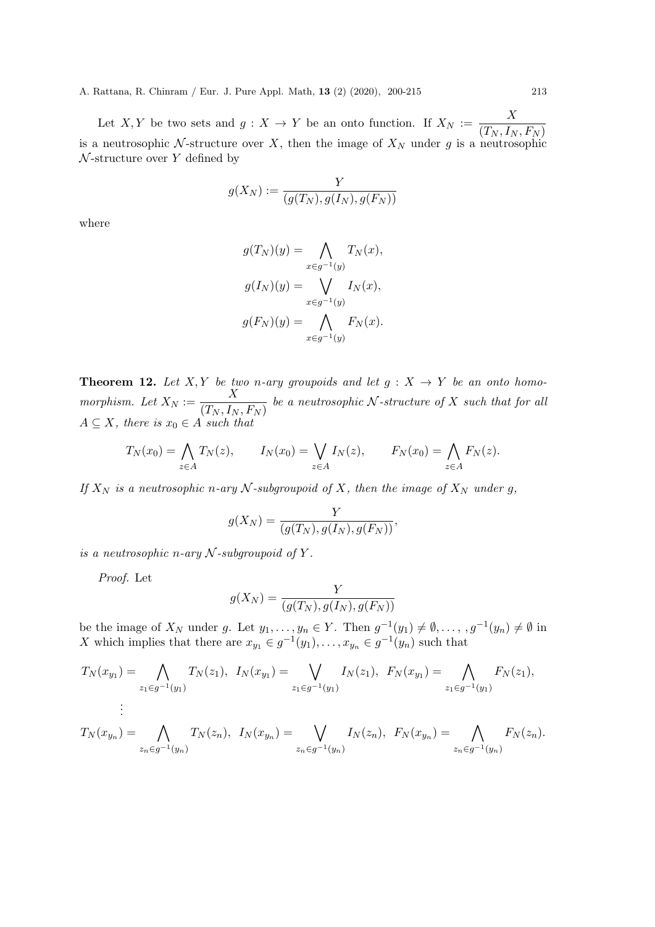Let X, Y be two sets and  $g: X \to Y$  be an onto function. If  $X_N := \frac{X}{(T - I)}$  $(T_N, I_N, F_N)$ is a neutrosophic N-structure over X, then the image of  $X_N$  under g is a neutrosophic  $\mathcal N$ -structure over Y defined by

$$
g(X_N) := \frac{Y}{(g(T_N), g(I_N), g(F_N))}
$$

where

$$
g(T_N)(y) = \bigwedge_{x \in g^{-1}(y)} T_N(x),
$$

$$
g(I_N)(y) = \bigvee_{x \in g^{-1}(y)} I_N(x),
$$

$$
g(F_N)(y) = \bigwedge_{x \in g^{-1}(y)} F_N(x).
$$

**Theorem 12.** Let X, Y be two n-ary groupoids and let  $g: X \rightarrow Y$  be an onto homomorphism. Let  $X_N := \frac{X}{(T - I)}$  $\frac{1}{(T_N, I_N, F_N)}$  be a neutrosophic N-structure of X such that for all  $A \subseteq X$ , there is  $x_0 \in A$  such that

$$
T_N(x_0) = \bigwedge_{z \in A} T_N(z), \qquad I_N(x_0) = \bigvee_{z \in A} I_N(z), \qquad F_N(x_0) = \bigwedge_{z \in A} F_N(z).
$$

If  $X_N$  is a neutrosophic n-ary N-subgroupoid of X, then the image of  $X_N$  under g,

$$
g(X_N) = \frac{Y}{(g(T_N), g(I_N), g(F_N))},
$$

is a neutrosophic n-ary  $N$ -subgroupoid of Y.

Proof. Let

$$
g(X_N) = \frac{Y}{(g(T_N), g(I_N), g(F_N))}
$$

be the image of  $X_N$  under g. Let  $y_1, \ldots, y_n \in Y$ . Then  $g^{-1}(y_1) \neq \emptyset, \ldots, g^{-1}(y_n) \neq \emptyset$  in X which implies that there are  $x_{y_1} \in g^{-1}(y_1), \ldots, x_{y_n} \in g^{-1}(y_n)$  such that

$$
T_N(x_{y_1}) = \bigwedge_{z_1 \in g^{-1}(y_1)} T_N(z_1), \ I_N(x_{y_1}) = \bigvee_{z_1 \in g^{-1}(y_1)} I_N(z_1), \ F_N(x_{y_1}) = \bigwedge_{z_1 \in g^{-1}(y_1)} F_N(z_1),
$$
  
\n
$$
\vdots
$$
  
\n
$$
T_N(x_{y_n}) = \bigwedge_{z_n \in g^{-1}(y_n)} T_N(z_n), \ I_N(x_{y_n}) = \bigvee_{z_n \in g^{-1}(y_n)} I_N(z_n), \ F_N(x_{y_n}) = \bigwedge_{z_n \in g^{-1}(y_n)} F_N(z_n).
$$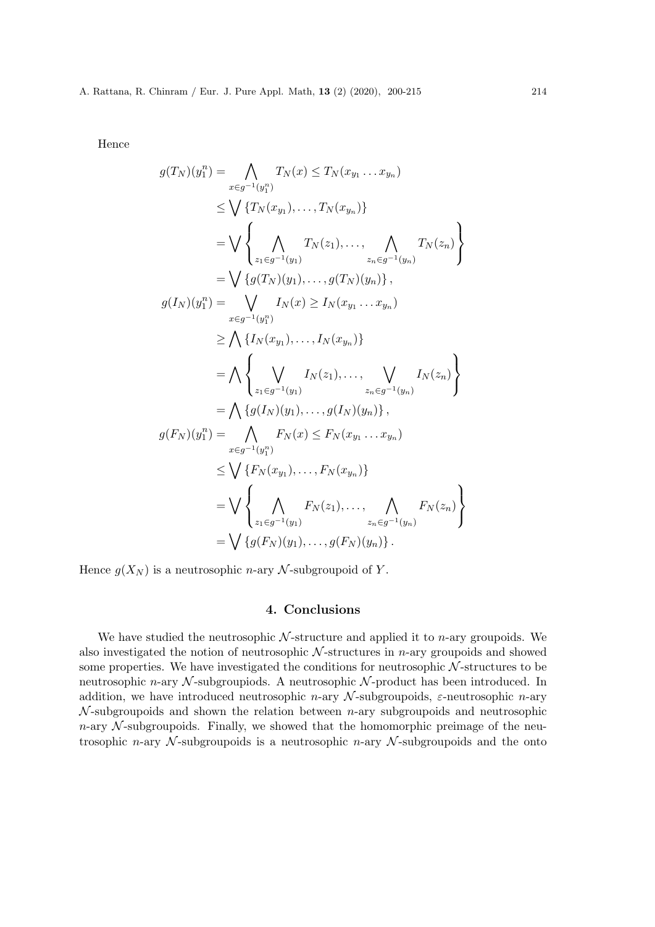Hence

$$
g(T_N)(y_1^n) = \bigwedge_{x \in g^{-1}(y_1^n)} T_N(x) \le T_N(x_{y_1} \dots x_{y_n})
$$
  
\n
$$
\le \bigvee \{T_N(x_{y_1}), \dots, T_N(x_{y_n})\}
$$
  
\n
$$
= \bigvee \left\{\bigwedge_{z_1 \in g^{-1}(y_1)} T_N(z_1), \dots, \bigwedge_{z_n \in g^{-1}(y_n)} T_N(z_n)\right\}
$$
  
\n
$$
= \bigvee \{g(T_N)(y_1), \dots, g(T_N)(y_n)\},
$$
  
\n
$$
g(I_N)(y_1^n) = \bigvee_{x \in g^{-1}(y_1^n)} I_N(x) \ge I_N(x_{y_1} \dots x_{y_n})
$$
  
\n
$$
\ge \bigwedge \{I_N(x_{y_1}), \dots, I_N(x_{y_n})\}
$$
  
\n
$$
= \bigwedge \left\{\bigvee_{z_1 \in g^{-1}(y_1)} I_N(z_1), \dots, \bigvee_{z_n \in g^{-1}(y_n)} I_N(z_n)\right\}
$$
  
\n
$$
= \bigwedge \{g(I_N)(y_1), \dots, g(I_N)(y_n)\},
$$
  
\n
$$
g(F_N)(y_1^n) = \bigwedge_{x \in g^{-1}(y_1^n)} F_N(x) \le F_N(x_{y_1} \dots x_{y_n})
$$
  
\n
$$
= \bigvee \left\{\bigwedge_{z_1 \in g^{-1}(y_1)} F_N(z_1), \dots, \bigwedge_{z_n \in g^{-1}(y_n)} F_N(z_n)\right\}
$$
  
\n
$$
= \bigvee \{g(F_N)(y_1), \dots, g(F_N)(y_n)\}.
$$

Hence  $g(X_N)$  is a neutrosophic *n*-ary  $\mathcal N$ -subgroupoid of Y.

# 4. Conclusions

We have studied the neutrosophic  $N$ -structure and applied it to *n*-ary groupoids. We also investigated the notion of neutrosophic  $N$ -structures in *n*-ary groupoids and showed some properties. We have investigated the conditions for neutrosophic  $N$ -structures to be neutrosophic  $n$ -ary  $\mathcal N$ -subgroupiods. A neutrosophic  $\mathcal N$ -product has been introduced. In addition, we have introduced neutrosophic n-ary  $\mathcal N$ -subgroupoids,  $\varepsilon$ -neutrosophic n-ary  $\mathcal N$ -subgroupoids and shown the relation between *n*-ary subgroupoids and neutrosophic  $n$ -ary  $\mathcal N$ -subgroupoids. Finally, we showed that the homomorphic preimage of the neutrosophic *n*-ary  $N$ -subgroupoids is a neutrosophic *n*-ary  $N$ -subgroupoids and the onto